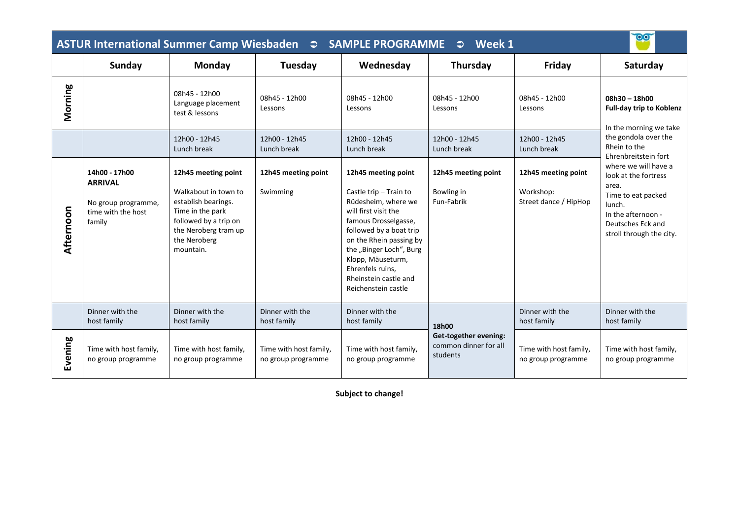| $\overline{\mathbf{00}}$<br>Week 1<br>$\bullet$ |                                                                                        |                                                                                                                                                                      |                                              |                                                                                                                                                                                                                                                                                                |                                                                     |                                                           |                                                                                                                                                                                                                              |  |  |  |  |
|-------------------------------------------------|----------------------------------------------------------------------------------------|----------------------------------------------------------------------------------------------------------------------------------------------------------------------|----------------------------------------------|------------------------------------------------------------------------------------------------------------------------------------------------------------------------------------------------------------------------------------------------------------------------------------------------|---------------------------------------------------------------------|-----------------------------------------------------------|------------------------------------------------------------------------------------------------------------------------------------------------------------------------------------------------------------------------------|--|--|--|--|
|                                                 | Sunday                                                                                 | Monday                                                                                                                                                               | Tuesday                                      | Wednesday                                                                                                                                                                                                                                                                                      | Thursday                                                            | Friday                                                    | Saturday                                                                                                                                                                                                                     |  |  |  |  |
| Morning                                         |                                                                                        | 08h45 - 12h00<br>Language placement<br>test & lessons                                                                                                                | 08h45 - 12h00<br>Lessons                     | 08h45 - 12h00<br>Lessons                                                                                                                                                                                                                                                                       | 08h45 - 12h00<br>Lessons                                            | 08h45 - 12h00<br>Lessons                                  | 08h30 - 18h00<br><b>Full-day trip to Koblenz</b><br>In the morning we take                                                                                                                                                   |  |  |  |  |
|                                                 |                                                                                        | 12h00 - 12h45<br>Lunch break                                                                                                                                         | 12h00 - 12h45<br>Lunch break                 | 12h00 - 12h45<br>Lunch break                                                                                                                                                                                                                                                                   | 12h00 - 12h45<br>Lunch break                                        | 12h00 - 12h45<br>Lunch break                              | the gondola over the<br>Rhein to the<br>Ehrenbreitstein fort<br>where we will have a<br>look at the fortress<br>area.<br>Time to eat packed<br>lunch.<br>In the afternoon -<br>Deutsches Eck and<br>stroll through the city. |  |  |  |  |
| Afternoon                                       | 14h00 - 17h00<br><b>ARRIVAL</b><br>No group programme,<br>time with the host<br>family | 12h45 meeting point<br>Walkabout in town to<br>establish bearings.<br>Time in the park<br>followed by a trip on<br>the Neroberg tram up<br>the Neroberg<br>mountain. | 12h45 meeting point<br>Swimming              | 12h45 meeting point<br>Castle trip - Train to<br>Rüdesheim, where we<br>will first visit the<br>famous Drosselgasse,<br>followed by a boat trip<br>on the Rhein passing by<br>the "Binger Loch", Burg<br>Klopp, Mäuseturm,<br>Ehrenfels ruins,<br>Rheinstein castle and<br>Reichenstein castle | 12h45 meeting point<br>Bowling in<br>Fun-Fabrik                     | 12h45 meeting point<br>Workshop:<br>Street dance / HipHop |                                                                                                                                                                                                                              |  |  |  |  |
|                                                 | Dinner with the<br>host family                                                         | Dinner with the<br>host family                                                                                                                                       | Dinner with the<br>host family               | Dinner with the<br>host family                                                                                                                                                                                                                                                                 | 18h00<br>Get-together evening:<br>common dinner for all<br>students | Dinner with the<br>host family                            | Dinner with the<br>host family                                                                                                                                                                                               |  |  |  |  |
| Evening                                         | Time with host family,<br>no group programme                                           | Time with host family,<br>no group programme                                                                                                                         | Time with host family,<br>no group programme | Time with host family,<br>no group programme                                                                                                                                                                                                                                                   |                                                                     | Time with host family,<br>no group programme              | Time with host family,<br>no group programme                                                                                                                                                                                 |  |  |  |  |

**Subject to change!**